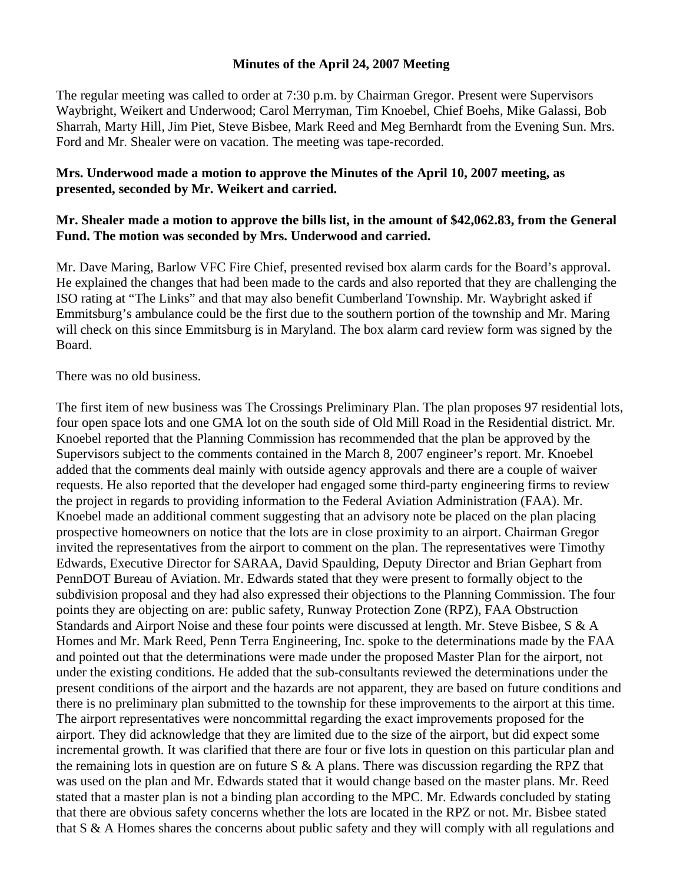## **Minutes of the April 24, 2007 Meeting**

The regular meeting was called to order at 7:30 p.m. by Chairman Gregor. Present were Supervisors Waybright, Weikert and Underwood; Carol Merryman, Tim Knoebel, Chief Boehs, Mike Galassi, Bob Sharrah, Marty Hill, Jim Piet, Steve Bisbee, Mark Reed and Meg Bernhardt from the Evening Sun. Mrs. Ford and Mr. Shealer were on vacation. The meeting was tape-recorded.

## **Mrs. Underwood made a motion to approve the Minutes of the April 10, 2007 meeting, as presented, seconded by Mr. Weikert and carried.**

## **Mr. Shealer made a motion to approve the bills list, in the amount of \$42,062.83, from the General Fund. The motion was seconded by Mrs. Underwood and carried.**

Mr. Dave Maring, Barlow VFC Fire Chief, presented revised box alarm cards for the Board's approval. He explained the changes that had been made to the cards and also reported that they are challenging the ISO rating at "The Links" and that may also benefit Cumberland Township. Mr. Waybright asked if Emmitsburg's ambulance could be the first due to the southern portion of the township and Mr. Maring will check on this since Emmitsburg is in Maryland. The box alarm card review form was signed by the Board.

There was no old business.

The first item of new business was The Crossings Preliminary Plan. The plan proposes 97 residential lots, four open space lots and one GMA lot on the south side of Old Mill Road in the Residential district. Mr. Knoebel reported that the Planning Commission has recommended that the plan be approved by the Supervisors subject to the comments contained in the March 8, 2007 engineer's report. Mr. Knoebel added that the comments deal mainly with outside agency approvals and there are a couple of waiver requests. He also reported that the developer had engaged some third-party engineering firms to review the project in regards to providing information to the Federal Aviation Administration (FAA). Mr. Knoebel made an additional comment suggesting that an advisory note be placed on the plan placing prospective homeowners on notice that the lots are in close proximity to an airport. Chairman Gregor invited the representatives from the airport to comment on the plan. The representatives were Timothy Edwards, Executive Director for SARAA, David Spaulding, Deputy Director and Brian Gephart from PennDOT Bureau of Aviation. Mr. Edwards stated that they were present to formally object to the subdivision proposal and they had also expressed their objections to the Planning Commission. The four points they are objecting on are: public safety, Runway Protection Zone (RPZ), FAA Obstruction Standards and Airport Noise and these four points were discussed at length. Mr. Steve Bisbee, S & A Homes and Mr. Mark Reed, Penn Terra Engineering, Inc. spoke to the determinations made by the FAA and pointed out that the determinations were made under the proposed Master Plan for the airport, not under the existing conditions. He added that the sub-consultants reviewed the determinations under the present conditions of the airport and the hazards are not apparent, they are based on future conditions and there is no preliminary plan submitted to the township for these improvements to the airport at this time. The airport representatives were noncommittal regarding the exact improvements proposed for the airport. They did acknowledge that they are limited due to the size of the airport, but did expect some incremental growth. It was clarified that there are four or five lots in question on this particular plan and the remaining lots in question are on future  $S \& A$  plans. There was discussion regarding the RPZ that was used on the plan and Mr. Edwards stated that it would change based on the master plans. Mr. Reed stated that a master plan is not a binding plan according to the MPC. Mr. Edwards concluded by stating that there are obvious safety concerns whether the lots are located in the RPZ or not. Mr. Bisbee stated that S & A Homes shares the concerns about public safety and they will comply with all regulations and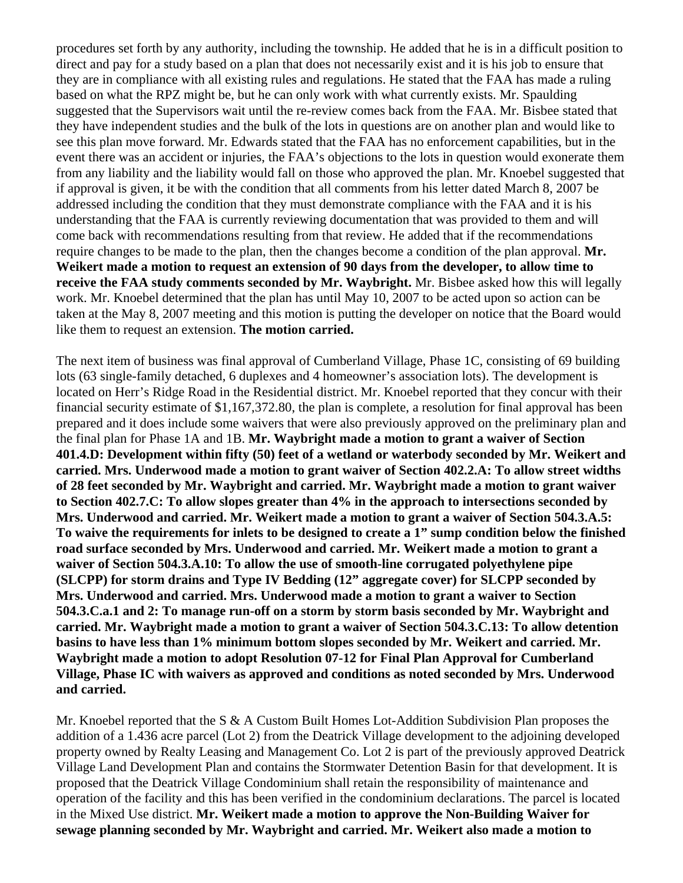procedures set forth by any authority, including the township. He added that he is in a difficult position to direct and pay for a study based on a plan that does not necessarily exist and it is his job to ensure that they are in compliance with all existing rules and regulations. He stated that the FAA has made a ruling based on what the RPZ might be, but he can only work with what currently exists. Mr. Spaulding suggested that the Supervisors wait until the re-review comes back from the FAA. Mr. Bisbee stated that they have independent studies and the bulk of the lots in questions are on another plan and would like to see this plan move forward. Mr. Edwards stated that the FAA has no enforcement capabilities, but in the event there was an accident or injuries, the FAA's objections to the lots in question would exonerate them from any liability and the liability would fall on those who approved the plan. Mr. Knoebel suggested that if approval is given, it be with the condition that all comments from his letter dated March 8, 2007 be addressed including the condition that they must demonstrate compliance with the FAA and it is his understanding that the FAA is currently reviewing documentation that was provided to them and will come back with recommendations resulting from that review. He added that if the recommendations require changes to be made to the plan, then the changes become a condition of the plan approval. **Mr. Weikert made a motion to request an extension of 90 days from the developer, to allow time to receive the FAA study comments seconded by Mr. Waybright.** Mr. Bisbee asked how this will legally work. Mr. Knoebel determined that the plan has until May 10, 2007 to be acted upon so action can be taken at the May 8, 2007 meeting and this motion is putting the developer on notice that the Board would like them to request an extension. **The motion carried.** 

The next item of business was final approval of Cumberland Village, Phase 1C, consisting of 69 building lots (63 single-family detached, 6 duplexes and 4 homeowner's association lots). The development is located on Herr's Ridge Road in the Residential district. Mr. Knoebel reported that they concur with their financial security estimate of \$1,167,372.80, the plan is complete, a resolution for final approval has been prepared and it does include some waivers that were also previously approved on the preliminary plan and the final plan for Phase 1A and 1B. **Mr. Waybright made a motion to grant a waiver of Section 401.4.D: Development within fifty (50) feet of a wetland or waterbody seconded by Mr. Weikert and carried. Mrs. Underwood made a motion to grant waiver of Section 402.2.A: To allow street widths of 28 feet seconded by Mr. Waybright and carried. Mr. Waybright made a motion to grant waiver to Section 402.7.C: To allow slopes greater than 4% in the approach to intersections seconded by Mrs. Underwood and carried. Mr. Weikert made a motion to grant a waiver of Section 504.3.A.5: To waive the requirements for inlets to be designed to create a 1" sump condition below the finished road surface seconded by Mrs. Underwood and carried. Mr. Weikert made a motion to grant a waiver of Section 504.3.A.10: To allow the use of smooth-line corrugated polyethylene pipe (SLCPP) for storm drains and Type IV Bedding (12" aggregate cover) for SLCPP seconded by Mrs. Underwood and carried. Mrs. Underwood made a motion to grant a waiver to Section 504.3.C.a.1 and 2: To manage run-off on a storm by storm basis seconded by Mr. Waybright and carried. Mr. Waybright made a motion to grant a waiver of Section 504.3.C.13: To allow detention basins to have less than 1% minimum bottom slopes seconded by Mr. Weikert and carried. Mr. Waybright made a motion to adopt Resolution 07-12 for Final Plan Approval for Cumberland Village, Phase IC with waivers as approved and conditions as noted seconded by Mrs. Underwood and carried.** 

Mr. Knoebel reported that the S & A Custom Built Homes Lot-Addition Subdivision Plan proposes the addition of a 1.436 acre parcel (Lot 2) from the Deatrick Village development to the adjoining developed property owned by Realty Leasing and Management Co. Lot 2 is part of the previously approved Deatrick Village Land Development Plan and contains the Stormwater Detention Basin for that development. It is proposed that the Deatrick Village Condominium shall retain the responsibility of maintenance and operation of the facility and this has been verified in the condominium declarations. The parcel is located in the Mixed Use district. **Mr. Weikert made a motion to approve the Non-Building Waiver for sewage planning seconded by Mr. Waybright and carried. Mr. Weikert also made a motion to**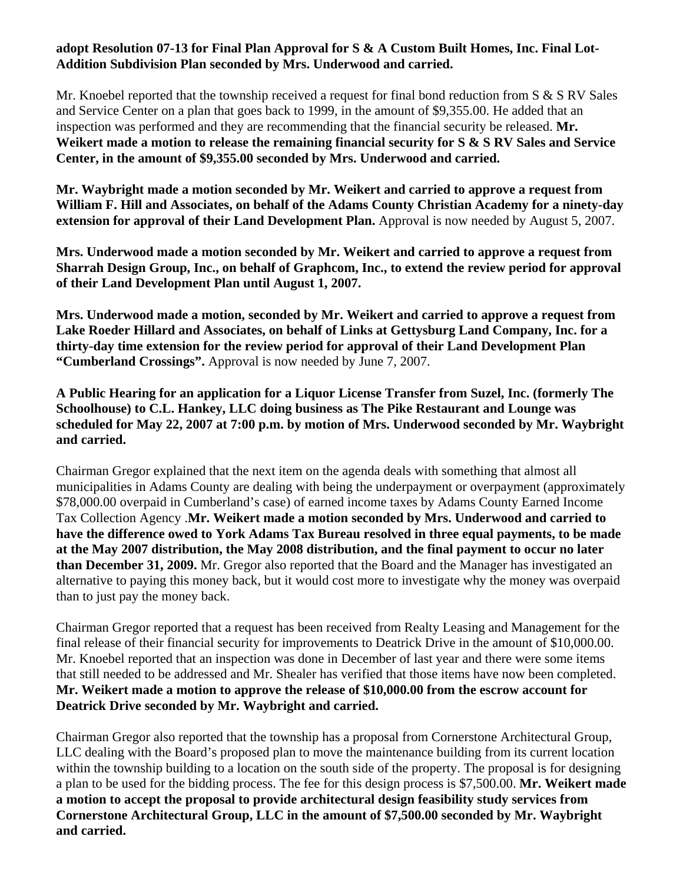## **adopt Resolution 07-13 for Final Plan Approval for S & A Custom Built Homes, Inc. Final Lot-Addition Subdivision Plan seconded by Mrs. Underwood and carried.**

Mr. Knoebel reported that the township received a request for final bond reduction from S & S RV Sales and Service Center on a plan that goes back to 1999, in the amount of \$9,355.00. He added that an inspection was performed and they are recommending that the financial security be released. **Mr. Weikert made a motion to release the remaining financial security for S & S RV Sales and Service Center, in the amount of \$9,355.00 seconded by Mrs. Underwood and carried.** 

**Mr. Waybright made a motion seconded by Mr. Weikert and carried to approve a request from William F. Hill and Associates, on behalf of the Adams County Christian Academy for a ninety-day extension for approval of their Land Development Plan.** Approval is now needed by August 5, 2007.

**Mrs. Underwood made a motion seconded by Mr. Weikert and carried to approve a request from Sharrah Design Group, Inc., on behalf of Graphcom, Inc., to extend the review period for approval of their Land Development Plan until August 1, 2007.** 

**Mrs. Underwood made a motion, seconded by Mr. Weikert and carried to approve a request from Lake Roeder Hillard and Associates, on behalf of Links at Gettysburg Land Company, Inc. for a thirty-day time extension for the review period for approval of their Land Development Plan "Cumberland Crossings".** Approval is now needed by June 7, 2007.

**A Public Hearing for an application for a Liquor License Transfer from Suzel, Inc. (formerly The Schoolhouse) to C.L. Hankey, LLC doing business as The Pike Restaurant and Lounge was scheduled for May 22, 2007 at 7:00 p.m. by motion of Mrs. Underwood seconded by Mr. Waybright and carried.** 

Chairman Gregor explained that the next item on the agenda deals with something that almost all municipalities in Adams County are dealing with being the underpayment or overpayment (approximately \$78,000.00 overpaid in Cumberland's case) of earned income taxes by Adams County Earned Income Tax Collection Agency .**Mr. Weikert made a motion seconded by Mrs. Underwood and carried to have the difference owed to York Adams Tax Bureau resolved in three equal payments, to be made at the May 2007 distribution, the May 2008 distribution, and the final payment to occur no later than December 31, 2009.** Mr. Gregor also reported that the Board and the Manager has investigated an alternative to paying this money back, but it would cost more to investigate why the money was overpaid than to just pay the money back.

Chairman Gregor reported that a request has been received from Realty Leasing and Management for the final release of their financial security for improvements to Deatrick Drive in the amount of \$10,000.00. Mr. Knoebel reported that an inspection was done in December of last year and there were some items that still needed to be addressed and Mr. Shealer has verified that those items have now been completed. **Mr. Weikert made a motion to approve the release of \$10,000.00 from the escrow account for Deatrick Drive seconded by Mr. Waybright and carried.** 

Chairman Gregor also reported that the township has a proposal from Cornerstone Architectural Group, LLC dealing with the Board's proposed plan to move the maintenance building from its current location within the township building to a location on the south side of the property. The proposal is for designing a plan to be used for the bidding process. The fee for this design process is \$7,500.00. **Mr. Weikert made a motion to accept the proposal to provide architectural design feasibility study services from Cornerstone Architectural Group, LLC in the amount of \$7,500.00 seconded by Mr. Waybright and carried.**